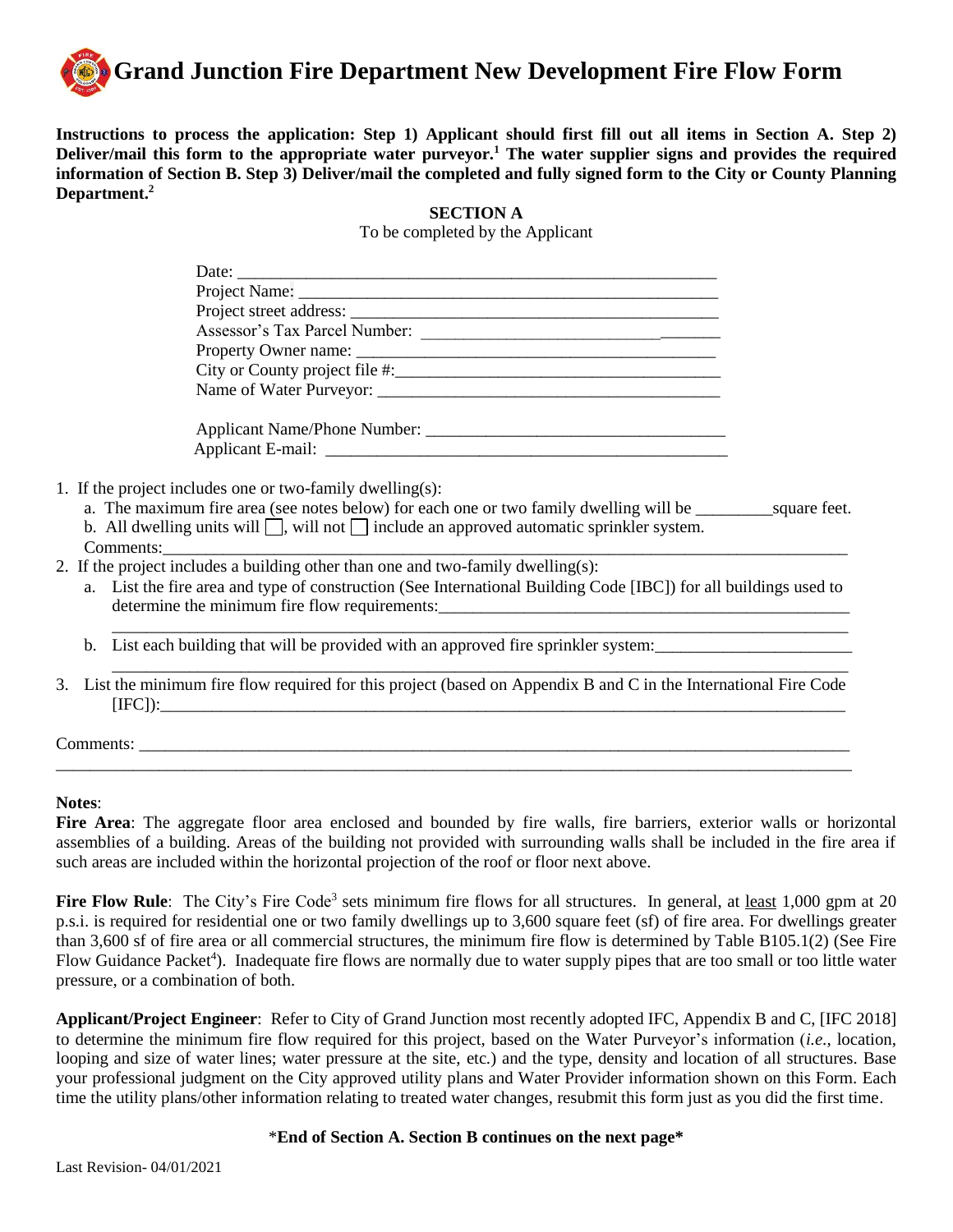

**Instructions to process the application: Step 1) Applicant should first fill out all items in Section A. Step 2) Deliver/mail this form to the appropriate water purveyor.<sup>1</sup> The water supplier signs and provides the required information of Section B. Step 3) Deliver/mail the completed and fully signed form to the City or County Planning Department.<sup>2</sup>**

**SECTION A**

To be completed by the Applicant

| Date: $\frac{1}{2}$                                                                                               |  |
|-------------------------------------------------------------------------------------------------------------------|--|
|                                                                                                                   |  |
|                                                                                                                   |  |
|                                                                                                                   |  |
|                                                                                                                   |  |
|                                                                                                                   |  |
| Name of Water Purveyor:                                                                                           |  |
|                                                                                                                   |  |
|                                                                                                                   |  |
| 1. If the project includes one or two-family dwelling(s):                                                         |  |
| a. The maximum fire area (see notes below) for each one or two family dwelling will be _____________ square feet. |  |
| b. All dwelling units will $\Box$ , will not $\Box$ include an approved automatic sprinkler system.               |  |

- Comments:
- 2. If the project includes a building other than one and two-family dwelling(s):
	- a. List the fire area and type of construction (See International Building Code [IBC]) for all buildings used to determine the minimum fire flow requirements:

\_\_\_\_\_\_\_\_\_\_\_\_\_\_\_\_\_\_\_\_\_\_\_\_\_\_\_\_\_\_\_\_\_\_\_\_\_\_\_\_\_\_\_\_\_\_\_\_\_\_\_\_\_\_\_\_\_\_\_\_\_\_\_\_\_\_\_\_\_\_\_\_\_\_\_\_\_\_\_\_\_\_\_\_\_\_

\_\_\_\_\_\_\_\_\_\_\_\_\_\_\_\_\_\_\_\_\_\_\_\_\_\_\_\_\_\_\_\_\_\_\_\_\_\_\_\_\_\_\_\_\_\_\_\_\_\_\_\_\_\_\_\_\_\_\_\_\_\_\_\_\_\_\_\_\_\_\_\_\_\_\_\_\_\_\_\_\_\_\_\_\_\_

- b. List each building that will be provided with an approved fire sprinkler system:
- 3. List the minimum fire flow required for this project (based on Appendix B and C in the International Fire Code [IFC]):\_\_\_\_\_\_\_\_\_\_\_\_\_\_\_\_\_\_\_\_\_\_\_\_\_\_\_\_\_\_\_\_\_\_\_\_\_\_\_\_\_\_\_\_\_\_\_\_\_\_\_\_\_\_\_\_\_\_\_\_\_\_\_\_\_\_\_\_\_\_\_\_\_\_\_\_\_\_\_\_

\_\_\_\_\_\_\_\_\_\_\_\_\_\_\_\_\_\_\_\_\_\_\_\_\_\_\_\_\_\_\_\_\_\_\_\_\_\_\_\_\_\_\_\_\_\_\_\_\_\_\_\_\_\_\_\_\_\_\_\_\_\_\_\_\_\_\_\_\_\_\_\_\_\_\_\_\_\_\_\_\_\_\_\_\_\_\_\_\_\_\_\_\_

Comments:

## **Notes**:

**Fire Area**: The aggregate floor area enclosed and bounded by fire walls, fire barriers, exterior walls or horizontal assemblies of a building. Areas of the building not provided with surrounding walls shall be included in the fire area if such areas are included within the horizontal projection of the roof or floor next above.

Fire Flow Rule: The City's Fire Code<sup>3</sup> sets minimum fire flows for all structures. In general, at <u>least</u> 1,000 gpm at 20 p.s.i. is required for residential one or two family dwellings up to 3,600 square feet (sf) of fire area. For dwellings greater than 3,600 sf of fire area or all commercial structures, the minimum fire flow is determined by Table B105.1(2) (See Fire Flow Guidance Packet<sup>4</sup>). Inadequate fire flows are normally due to water supply pipes that are too small or too little water pressure, or a combination of both.

**Applicant/Project Engineer**: Refer to City of Grand Junction most recently adopted IFC, Appendix B and C, [IFC 2018] to determine the minimum fire flow required for this project, based on the Water Purveyor's information (*i.e.*, location, looping and size of water lines; water pressure at the site, etc*.*) and the type, density and location of all structures. Base your professional judgment on the City approved utility plans and Water Provider information shown on this Form. Each time the utility plans/other information relating to treated water changes, resubmit this form just as you did the first time.

\***End of Section A. Section B continues on the next page\***

Last Revision- 04/01/2021